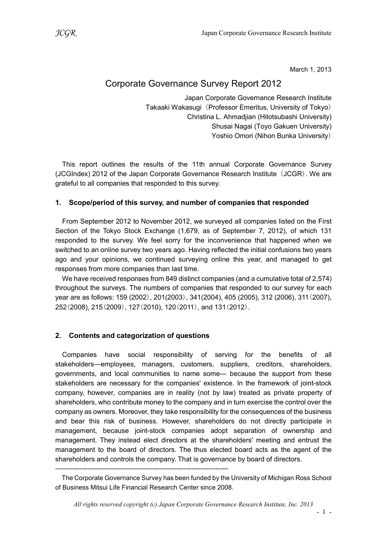March 1, 2013

# Corporate Governance Survey Report 2012

Japan Corporate Governance Research Institute Takaaki Wakasugi (Professor Emeritus, University of Tokyo) Christina L. Ahmadjian (Hitotsubashi University) Shusai Nagai (Toyo Gakuen University) Yoshio Omori (Nihon Bunka University)

This report outlines the results of the 11th annual Corporate Governance Survey (JCGIndex) 2012 of the Japan Corporate Governance Research Institute (JCGR). We are grateful to all companies that responded to this survey.

### 1. Scope/period of this survey, and number of companies that responded

From September 2012 to November 2012, we surveyed all companies listed on the First Section of the Tokyo Stock Exchange (1,679, as of September 7, 2012), of which 131 responded to the survey. We feel sorry for the inconvenience that happened when we switched to an online survey two years ago. Having reflected the initial confusions two years ago and your opinions, we continued surveying online this year, and managed to get responses from more companies than last time.

We have received responses from 849 distinct companies (and a cumulative total of 2,574) throughout the surveys. The numbers of companies that responded to our survey for each year are as follows: 159 (2002), 201(2003), 341(2004), 405 (2005), 312 (2006), 311(2007), 252(2008), 215(2009), 127(2010), 120(2011), and 131(2012).

# 2. Contents and categorization of questions

Companies have social responsibility of serving for the benefits of all stakeholders―employees, managers, customers, suppliers, creditors, shareholders, governments, and local communities to name some― because the support from these stakeholders are necessary for the companies' existence. In the framework of joint-stock company, however, companies are in reality (not by law) treated as private property of shareholders, who contribute money to the company and in turn exercise the control over the company as owners. Moreover, they take responsibility for the consequences of the business and bear this risk of business. However, shareholders do not directly participate in management, because joint-stock companies adopt separation of ownership and management. They instead elect directors at the shareholders' meeting and entrust the management to the board of directors. The thus elected board acts as the agent of the shareholders and controls the company. That is governance by board of directors.

<sup>--------------------------------------------------------------------------------</sup> 

The Corporate Governance Survey has been funded by the University of Michigan Ross School of Business Mitsui Life Financial Research Center since 2008.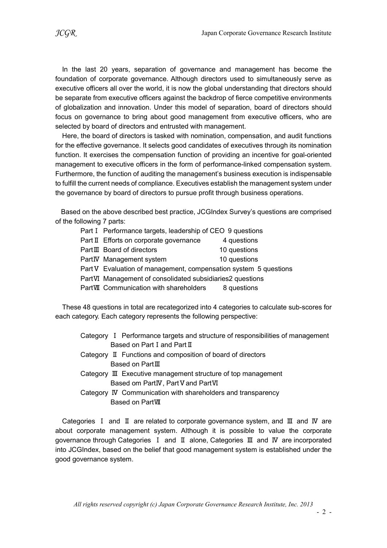In the last 20 years, separation of governance and management has become the foundation of corporate governance. Although directors used to simultaneously serve as executive officers all over the world, it is now the global understanding that directors should be separate from executive officers against the backdrop of fierce competitive environments of globalization and innovation. Under this model of separation, board of directors should focus on governance to bring about good management from executive officers, who are selected by board of directors and entrusted with management.

Here, the board of directors is tasked with nomination, compensation, and audit functions for the effective governance. It selects good candidates of executives through its nomination function. It exercises the compensation function of providing an incentive for goal-oriented management to executive officers in the form of performance-linked compensation system. Furthermore, the function of auditing the management's business execution is indispensable to fulfill the current needs of compliance. Executives establish the management system under the governance by board of directors to pursue profit through business operations.

Based on the above described best practice, JCGIndex Survey's questions are comprised of the following 7 parts:

| Part I Performance targets, leadership of CEO 9 questions        |              |
|------------------------------------------------------------------|--------------|
| Part II Efforts on corporate governance                          | 4 questions  |
| Part III Board of directors                                      | 10 questions |
| PartIV Management system                                         | 10 questions |
| Part V Evaluation of management, compensation system 5 questions |              |
| PartVI Management of consolidated subsidiaries2 questions        |              |
| PartVII Communication with shareholders                          | 8 questions  |

These 48 questions in total are recategorized into 4 categories to calculate sub-scores for each category. Each category represents the following perspective:

|  | Category I Performance targets and structure of responsibilities of management |
|--|--------------------------------------------------------------------------------|
|  | Based on Part I and Part II                                                    |

- Category Ⅱ Functions and composition of board of directors Based on PartⅢ
- Category Ⅲ Executive management structure of top management Based om PartIV, Part V and PartVI
- Category Ⅳ Communication with shareholders and transparency Based on PartⅦ

Categories Ⅰ and Ⅱ are related to corporate governance system, and Ⅲ and Ⅳ are about corporate management system. Although it is possible to value the corporate governance through Categories Ⅰ and Ⅱ alone, Categories Ⅲ and Ⅳ are incorporated into JCGIndex, based on the belief that good management system is established under the good governance system.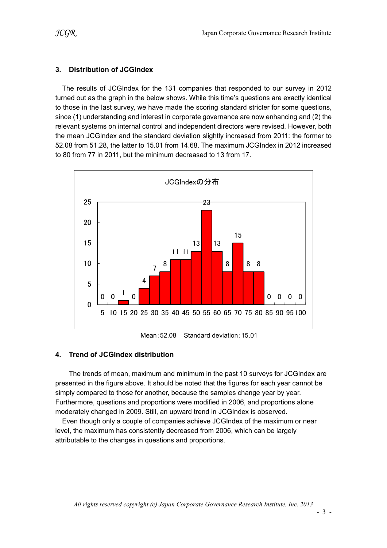# 3. Distribution of JCGIndex

The results of JCGIndex for the 131 companies that responded to our survey in 2012 turned out as the graph in the below shows. While this time's questions are exactly identical to those in the last survey, we have made the scoring standard stricter for some questions, since (1) understanding and interest in corporate governance are now enhancing and (2) the relevant systems on internal control and independent directors were revised. However, both the mean JCGIndex and the standard deviation slightly increased from 2011: the former to 52.08 from 51.28, the latter to 15.01 from 14.68. The maximum JCGIndex in 2012 increased to 80 from 77 in 2011, but the minimum decreased to 13 from 17.



Mean:52.08 Standard deviation:15.01

# 4. Trend of JCGIndex distribution

The trends of mean, maximum and minimum in the past 10 surveys for JCGIndex are presented in the figure above. It should be noted that the figures for each year cannot be simply compared to those for another, because the samples change year by year. Furthermore, questions and proportions were modified in 2006, and proportions alone moderately changed in 2009. Still, an upward trend in JCGIndex is observed.

Even though only a couple of companies achieve JCGIndex of the maximum or near level, the maximum has consistently decreased from 2006, which can be largely attributable to the changes in questions and proportions.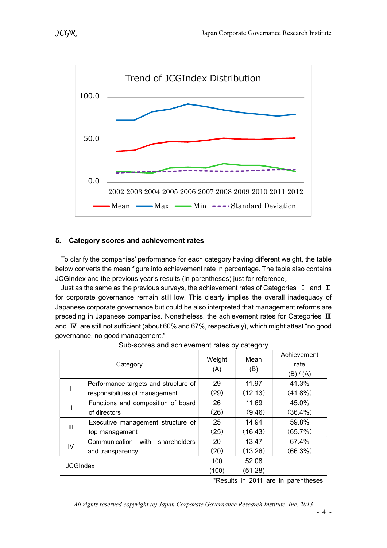

### 5. Category scores and achievement rates

To clarify the companies' performance for each category having different weight, the table below converts the mean figure into achievement rate in percentage. The table also contains JCGIndex and the previous year's results (in parentheses) just for reference。

Just as the same as the previous surveys, the achievement rates of Categories I and II for corporate governance remain still low. This clearly implies the overall inadequacy of Japanese corporate governance but could be also interpreted that management reforms are preceding in Japanese companies. Nonetheless, the achievement rates for Categories III and Ⅳ are still not sufficient (about 60% and 67%, respectively), which might attest "no good governance, no good management."

|                 | Category                              | Weight<br>(A) | Mean<br>(B) | Achievement<br>rate<br>(B) / (A) |
|-----------------|---------------------------------------|---------------|-------------|----------------------------------|
|                 | Performance targets and structure of  | 29            | 11.97       | 41.3%                            |
|                 | responsibilities of management        | (29)          | (12.13)     | $(41.8\%)$                       |
| Ш               | Functions and composition of board    | 26            | 11.69       | 45.0%                            |
|                 | of directors                          | (26)          | (9.46)      | $(36.4\%)$                       |
| Ш               | Executive management structure of     | 25            | 14.94       | 59.8%                            |
|                 | top management                        | (25)          | (16.43)     | (65.7%)                          |
| IV              | Communication<br>with<br>shareholders | 20            | 13.47       | 67.4%                            |
|                 | and transparency                      | (20)          | (13.26)     | $(66.3\%)$                       |
| <b>JCGIndex</b> |                                       | 100           | 52.08       |                                  |
|                 |                                       | (100)         | (51.28)     |                                  |

Sub-scores and achievement rates by category

\*Results in 2011 are in parentheses.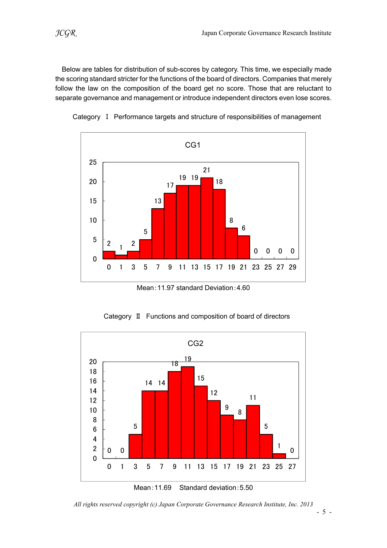Below are tables for distribution of sub-scores by category. This time, we especially made the scoring standard stricter for the functions of the board of directors. Companies that merely follow the law on the composition of the board get no score. Those that are reluctant to separate governance and management or introduce independent directors even lose scores.





Mean:11.97 standard Deviation:4.60

Category Ⅱ Functions and composition of board of directors



All rights reserved copyright (c) Japan Corporate Governance Research Institute, Inc. 2013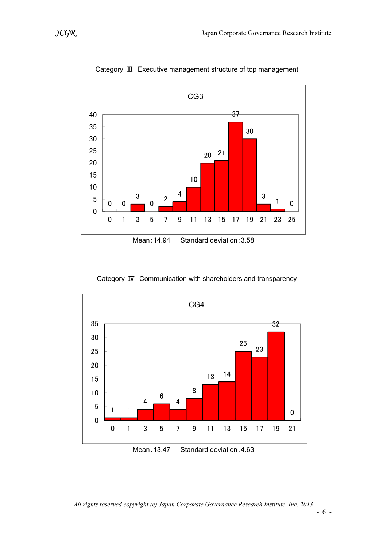

Category Ⅲ Executive management structure of top management

Mean:14.94 Standard deviation:3.58



Category Ⅳ Communication with shareholders and transparency

Mean: 13.47 Standard deviation: 4.63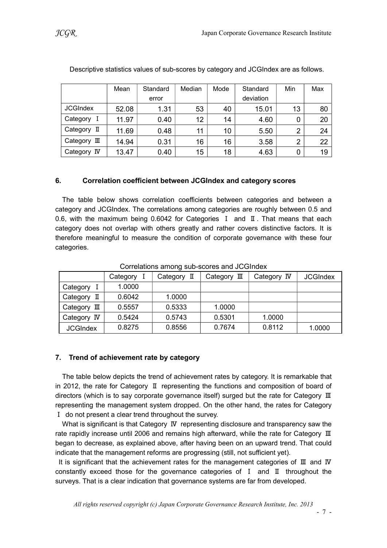|                 | Mean  | Standard | Median | Mode | Standard  | Min | Max |
|-----------------|-------|----------|--------|------|-----------|-----|-----|
|                 |       | error    |        |      | deviation |     |     |
| <b>JCGIndex</b> | 52.08 | 1.31     | 53     | 40   | 15.01     | 13  | 80  |
| Category        | 11.97 | 0.40     | 12     | 14   | 4.60      |     | 20  |
| Category II     | 11.69 | 0.48     | 11     | 10   | 5.50      | ◠   | 24  |
| Category<br>皿   | 14.94 | 0.31     | 16     | 16   | 3.58      | ∩   | 22  |
| Category IV     | 13.47 | 0.40     | 15     | 18   | 4.63      |     | 19  |

Descriptive statistics values of sub-scores by category and JCGIndex are as follows.

# 6. Correlation coefficient between JCGIndex and category scores

The table below shows correlation coefficients between categories and between a category and JCGIndex. The correlations among categories are roughly between 0.5 and 0.6, with the maximum being 0.6042 for Categories Ⅰ and Ⅱ. That means that each category does not overlap with others greatly and rather covers distinctive factors. It is therefore meaningful to measure the condition of corporate governance with these four categories.

|                 | Category | Category II | Category $\mathbb I$ | Category IV | <b>JCGIndex</b> |
|-----------------|----------|-------------|----------------------|-------------|-----------------|
| Category        | 1.0000   |             |                      |             |                 |
| Category<br>П   | 0.6042   | 1.0000      |                      |             |                 |
| Category<br>Ш   | 0.5557   | 0.5333      | 1.0000               |             |                 |
| Category IV     | 0.5424   | 0.5743      | 0.5301               | 1.0000      |                 |
| <b>JCGIndex</b> | 0.8275   | 0.8556      | 0.7674               | 0.8112      | 1.0000          |

Correlations among sub-scores and JCGIndex

# 7. Trend of achievement rate by category

The table below depicts the trend of achievement rates by category. It is remarkable that in 2012, the rate for Category Ⅱ representing the functions and composition of board of directors (which is to say corporate governance itself) surged but the rate for Category Ⅲ representing the management system dropped. On the other hand, the rates for Category Ⅰ do not present a clear trend throughout the survey.

What is significant is that Category **IV** representing disclosure and transparency saw the rate rapidly increase until 2006 and remains high afterward, while the rate for Category Ⅲ began to decrease, as explained above, after having been on an upward trend. That could indicate that the management reforms are progressing (still, not sufficient yet).

It is significant that the achievement rates for the management categories of Ⅲ and Ⅳ constantly exceed those for the governance categories of Ⅰ and Ⅱ throughout the surveys. That is a clear indication that governance systems are far from developed.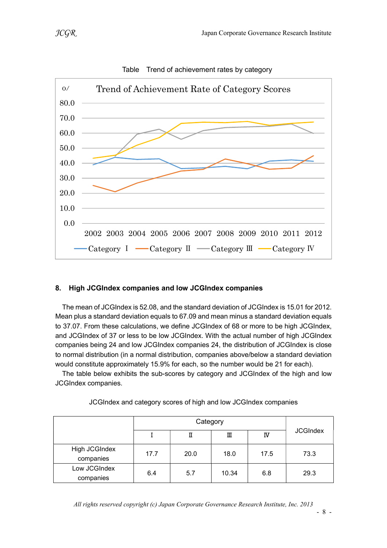

#### Table Trend of achievement rates by category

# 8. High JCGIndex companies and low JCGIndex companies

The mean of JCGIndex is 52.08, and the standard deviation of JCGIndex is 15.01 for 2012. Mean plus a standard deviation equals to 67.09 and mean minus a standard deviation equals to 37.07. From these calculations, we define JCGIndex of 68 or more to be high JCGIndex, and JCGIndex of 37 or less to be low JCGIndex. With the actual number of high JCGIndex companies being 24 and low JCGIndex companies 24, the distribution of JCGIndex is close to normal distribution (in a normal distribution, companies above/below a standard deviation would constitute approximately 15.9% for each, so the number would be 21 for each).

The table below exhibits the sub-scores by category and JCGIndex of the high and low JCGIndex companies.

|                            | Category |      |       |      |                 |  |
|----------------------------|----------|------|-------|------|-----------------|--|
|                            |          | П    | Ш     | IV   | <b>JCGIndex</b> |  |
| High JCGIndex<br>companies | 17.7     | 20.0 | 18.0  | 17.5 | 73.3            |  |
| Low JCGIndex<br>companies  | 6.4      | 5.7  | 10.34 | 6.8  | 29.3            |  |

#### JCGIndex and category scores of high and low JCGIndex companies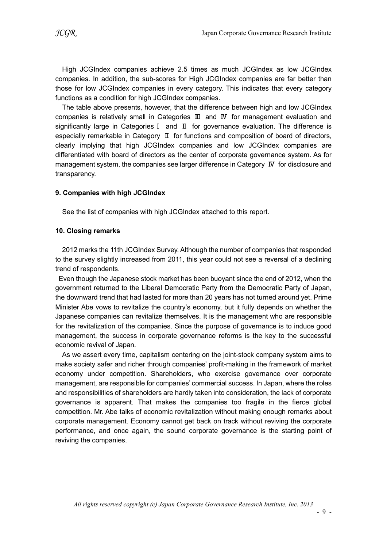High JCGIndex companies achieve 2.5 times as much JCGIndex as low JCGIndex companies. In addition, the sub-scores for High JCGIndex companies are far better than those for low JCGIndex companies in every category. This indicates that every category functions as a condition for high JCGIndex companies.

The table above presents, however, that the difference between high and low JCGIndex companies is relatively small in Categories Ⅲ and Ⅳ for management evaluation and significantly large in CategoriesⅠ and Ⅱ for governance evaluation. The difference is especially remarkable in Category Ⅱ for functions and composition of board of directors, clearly implying that high JCGIndex companies and low JCGIndex companies are differentiated with board of directors as the center of corporate governance system. As for management system, the companies see larger difference in Category Ⅳ for disclosure and transparency.

#### 9. Companies with high JCGIndex

See the list of companies with high JCGIndex attached to this report.

#### 10. Closing remarks

2012 marks the 11th JCGIndex Survey. Although the number of companies that responded to the survey slightly increased from 2011, this year could not see a reversal of a declining trend of respondents.

Even though the Japanese stock market has been buoyant since the end of 2012, when the government returned to the Liberal Democratic Party from the Democratic Party of Japan, the downward trend that had lasted for more than 20 years has not turned around yet. Prime Minister Abe vows to revitalize the country's economy, but it fully depends on whether the Japanese companies can revitalize themselves. It is the management who are responsible for the revitalization of the companies. Since the purpose of governance is to induce good management, the success in corporate governance reforms is the key to the successful economic revival of Japan.

As we assert every time, capitalism centering on the joint-stock company system aims to make society safer and richer through companies' profit-making in the framework of market economy under competition. Shareholders, who exercise governance over corporate management, are responsible for companies' commercial success. In Japan, where the roles and responsibilities of shareholders are hardly taken into consideration, the lack of corporate governance is apparent. That makes the companies too fragile in the fierce global competition. Mr. Abe talks of economic revitalization without making enough remarks about corporate management. Economy cannot get back on track without reviving the corporate performance, and once again, the sound corporate governance is the starting point of reviving the companies.